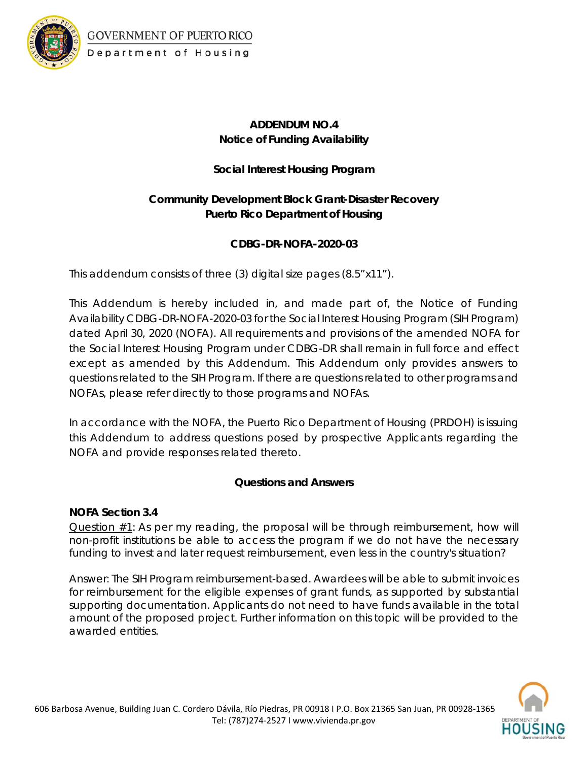

GOVERNMENT OF PUERTO RICO Department of Housing

# **ADDENDUM NO.4 Notice of Funding Availability**

## **Social Interest Housing Program**

# **Community Development Block Grant-Disaster Recovery Puerto Rico Department of Housing**

## **CDBG-DR-NOFA-2020-03**

This addendum consists of three (3) digital size pages (8.5"x11").

This Addendum is hereby included in, and made part of, the Notice of Funding Availability CDBG-DR-NOFA-2020-03 for the Social Interest Housing Program (SIH Program) dated April 30, 2020 (NOFA). All requirements and provisions of the amended NOFA for the Social Interest Housing Program under CDBG-DR shall remain in full force and effect except as amended by this Addendum. This Addendum only provides answers to questions related to the SIH Program. If there are questions related to other programs and NOFAs, please refer directly to those programs and NOFAs.

In accordance with the NOFA, the Puerto Rico Department of Housing (PRDOH) is issuing this Addendum to address questions posed by prospective Applicants regarding the NOFA and provide responses related thereto.

## **Questions and Answers**

### **NOFA Section 3.4**

Question #1: As per my reading, the proposal will be through reimbursement, how will non-profit institutions be able to access the program if we do not have the necessary funding to invest and later request reimbursement, even less in the country's situation?

*Answer: The SIH Program reimbursement-based. Awardees will be able to submit invoices*  for reimbursement for the eligible expenses of grant funds, as supported by substantial *supporting documentation. Applicants do not need to have funds available in the total amount of the proposed project. Further information on this topic will be provided to the awarded entities.* 

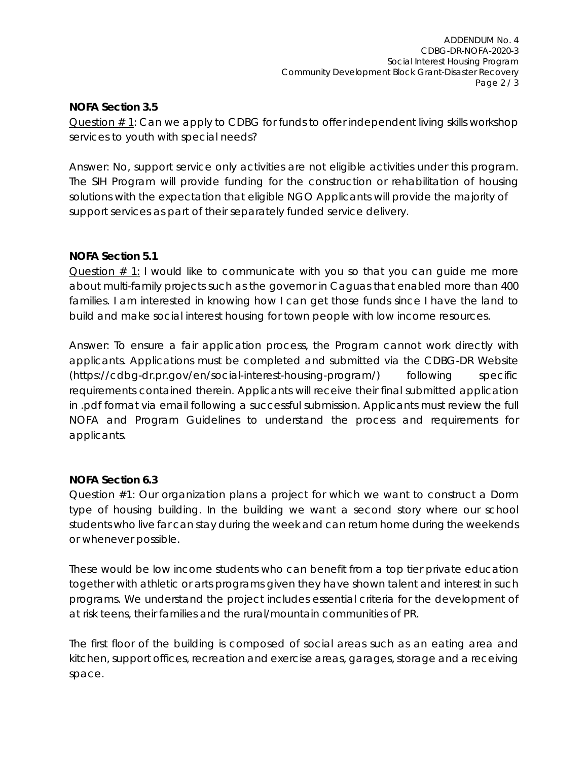### **NOFA Section 3.5**

Question # 1: Can we apply to CDBG for funds to offer independent living skills workshop services to youth with special needs?

*Answer: No, support service only activities are not eligible activities under this program. The SIH Program will provide funding for the construction or rehabilitation of housing solutions with the expectation that eligible NGO Applicants will provide the majority of support services as part of their separately funded service delivery.*

## **NOFA Section 5.1**

Question  $# 1$ : I would like to communicate with you so that you can quide me more about multi-family projects such as the governor in Caguas that enabled more than 400 families. I am interested in knowing how I can get those funds since I have the land to build and make social interest housing for town people with low income resources.

*Answer: To ensure a fair application process, the Program cannot work directly with applicants. Applications must be completed and submitted via the CDBG-DR Website (https://cdbg-dr.pr.gov/en/social-interest-housing-program/) following specific requirements contained therein. Applicants will receive their final submitted application in .pdf format via email following a successful submission. Applicants must review the full NOFA and Program Guidelines to understand the process and requirements for applicants.*

### **NOFA Section 6.3**

Question  $#1$ : Our organization plans a project for which we want to construct a Dorm type of housing building. In the building we want a second story where our school students who live far can stay during the week and can return home during the weekends or whenever possible.

These would be low income students who can benefit from a top tier private education together with athletic or arts programs given they have shown talent and interest in such programs. We understand the project includes essential criteria for the development of at risk teens, their families and the rural/mountain communities of PR.

The first floor of the building is composed of social areas such as an eating area and kitchen, support offices, recreation and exercise areas, garages, storage and a receiving space.